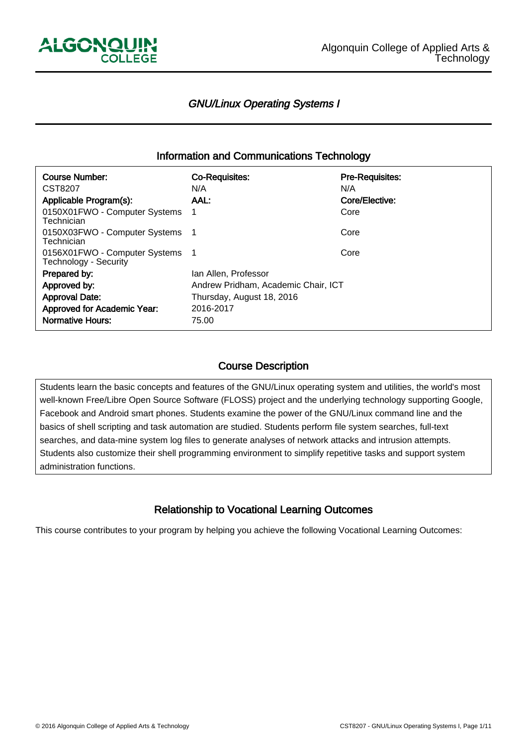

-

İ

└<br>│

## GNU/Linux Operating Systems I

## Information and Communications Technology

| <b>Course Number:</b><br>CST8207                         | <b>Co-Requisites:</b><br>N/A        | <b>Pre-Requisites:</b><br>N/A |  |
|----------------------------------------------------------|-------------------------------------|-------------------------------|--|
| Applicable Program(s):                                   | AAL.                                | Core/Elective:                |  |
| 0150X01FWO - Computer Systems<br>Technician              |                                     | Core                          |  |
| 0150X03FWO - Computer Systems<br>Technician              |                                     | Core                          |  |
| 0156X01FWO - Computer Systems 1<br>Technology - Security |                                     | Core                          |  |
| Prepared by:                                             | Ian Allen, Professor                |                               |  |
| Approved by:                                             | Andrew Pridham, Academic Chair, ICT |                               |  |
| <b>Approval Date:</b>                                    | Thursday, August 18, 2016           |                               |  |
| Approved for Academic Year:                              | 2016-2017                           |                               |  |
| <b>Normative Hours:</b>                                  | 75.00                               |                               |  |

## Course Description

Students learn the basic concepts and features of the GNU/Linux operating system and utilities, the world's most well-known Free/Libre Open Source Software (FLOSS) project and the underlying technology supporting Google, Facebook and Android smart phones. Students examine the power of the GNU/Linux command line and the basics of shell scripting and task automation are studied. Students perform file system searches, full-text searches, and data-mine system log files to generate analyses of network attacks and intrusion attempts. Students also customize their shell programming environment to simplify repetitive tasks and support system administration functions.

## Relationship to Vocational Learning Outcomes

This course contributes to your program by helping you achieve the following Vocational Learning Outcomes: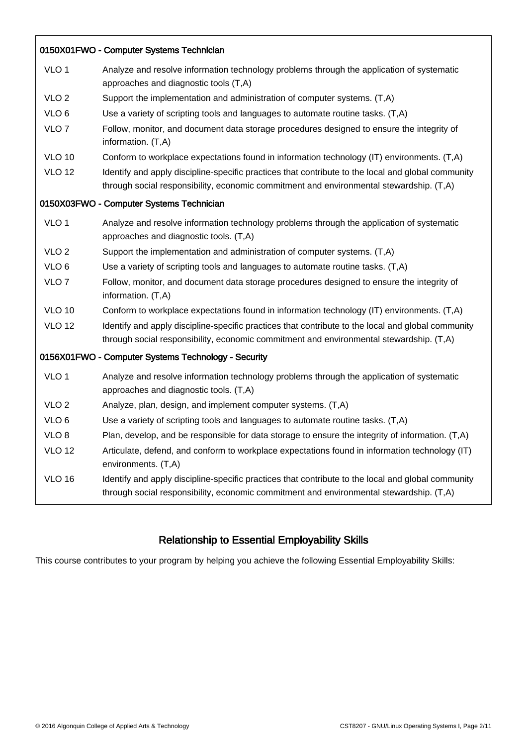| 0150X01FWO - Computer Systems Technician            |                                                                                                                                                                                               |  |  |  |  |  |
|-----------------------------------------------------|-----------------------------------------------------------------------------------------------------------------------------------------------------------------------------------------------|--|--|--|--|--|
| VLO <sub>1</sub>                                    | Analyze and resolve information technology problems through the application of systematic<br>approaches and diagnostic tools (T,A)                                                            |  |  |  |  |  |
| VLO <sub>2</sub>                                    | Support the implementation and administration of computer systems. (T,A)                                                                                                                      |  |  |  |  |  |
| VLO <sub>6</sub>                                    | Use a variety of scripting tools and languages to automate routine tasks. (T,A)                                                                                                               |  |  |  |  |  |
| VLO <sub>7</sub>                                    | Follow, monitor, and document data storage procedures designed to ensure the integrity of<br>information. (T,A)                                                                               |  |  |  |  |  |
| <b>VLO 10</b>                                       | Conform to workplace expectations found in information technology (IT) environments. (T,A)                                                                                                    |  |  |  |  |  |
| <b>VLO 12</b>                                       | Identify and apply discipline-specific practices that contribute to the local and global community<br>through social responsibility, economic commitment and environmental stewardship. (T,A) |  |  |  |  |  |
|                                                     | 0150X03FWO - Computer Systems Technician                                                                                                                                                      |  |  |  |  |  |
| VLO <sub>1</sub>                                    | Analyze and resolve information technology problems through the application of systematic<br>approaches and diagnostic tools. (T,A)                                                           |  |  |  |  |  |
| VLO <sub>2</sub>                                    | Support the implementation and administration of computer systems. (T,A)                                                                                                                      |  |  |  |  |  |
| VLO <sub>6</sub>                                    | Use a variety of scripting tools and languages to automate routine tasks. (T,A)                                                                                                               |  |  |  |  |  |
| VLO <sub>7</sub>                                    | Follow, monitor, and document data storage procedures designed to ensure the integrity of<br>information. (T,A)                                                                               |  |  |  |  |  |
| <b>VLO 10</b>                                       | Conform to workplace expectations found in information technology (IT) environments. (T,A)                                                                                                    |  |  |  |  |  |
| <b>VLO 12</b>                                       | Identify and apply discipline-specific practices that contribute to the local and global community<br>through social responsibility, economic commitment and environmental stewardship. (T,A) |  |  |  |  |  |
| 0156X01FWO - Computer Systems Technology - Security |                                                                                                                                                                                               |  |  |  |  |  |
| VLO <sub>1</sub>                                    | Analyze and resolve information technology problems through the application of systematic<br>approaches and diagnostic tools. (T,A)                                                           |  |  |  |  |  |
| VLO <sub>2</sub>                                    | Analyze, plan, design, and implement computer systems. (T,A)                                                                                                                                  |  |  |  |  |  |
| VLO 6                                               | Use a variety of scripting tools and languages to automate routine tasks. (T,A)                                                                                                               |  |  |  |  |  |
| VLO <sub>8</sub>                                    | Plan, develop, and be responsible for data storage to ensure the integrity of information. (T,A)                                                                                              |  |  |  |  |  |
| <b>VLO 12</b>                                       | Articulate, defend, and conform to workplace expectations found in information technology (IT)<br>environments. (T,A)                                                                         |  |  |  |  |  |
| <b>VLO 16</b>                                       | Identify and apply discipline-specific practices that contribute to the local and global community<br>through social responsibility, economic commitment and environmental stewardship. (T,A) |  |  |  |  |  |

# Relationship to Essential Employability Skills

This course contributes to your program by helping you achieve the following Essential Employability Skills:

İ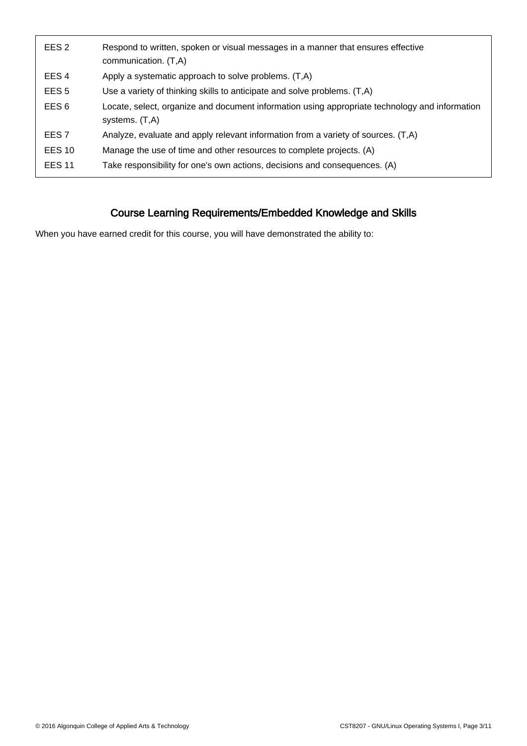| EES <sub>2</sub> | Respond to written, spoken or visual messages in a manner that ensures effective<br>communication. (T,A)         |
|------------------|------------------------------------------------------------------------------------------------------------------|
| EES <sub>4</sub> | Apply a systematic approach to solve problems. (T,A)                                                             |
| EES <sub>5</sub> | Use a variety of thinking skills to anticipate and solve problems. (T,A)                                         |
| EES <sub>6</sub> | Locate, select, organize and document information using appropriate technology and information<br>systems. (T,A) |
| EES <sub>7</sub> | Analyze, evaluate and apply relevant information from a variety of sources. (T,A)                                |
| <b>EES 10</b>    | Manage the use of time and other resources to complete projects. (A)                                             |
| <b>EES 11</b>    | Take responsibility for one's own actions, decisions and consequences. (A)                                       |
|                  |                                                                                                                  |

# Course Learning Requirements/Embedded Knowledge and Skills

When you have earned credit for this course, you will have demonstrated the ability to: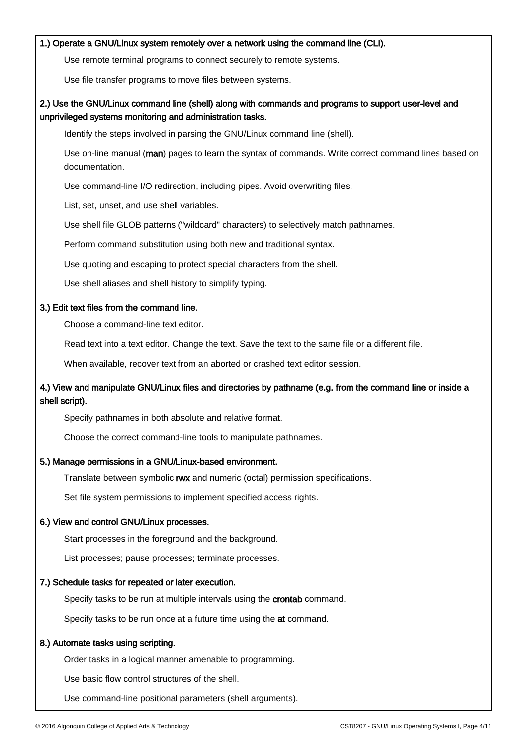#### 1.) Operate a GNU/Linux system remotely over a network using the command line (CLI).

Use remote terminal programs to connect securely to remote systems.

Use file transfer programs to move files between systems.

### 2.) Use the GNU/Linux command line (shell) along with commands and programs to support user-level and unprivileged systems monitoring and administration tasks.

Identify the steps involved in parsing the GNU/Linux command line (shell).

Use on-line manual (man) pages to learn the syntax of commands. Write correct command lines based on documentation.

Use command-line I/O redirection, including pipes. Avoid overwriting files.

List, set, unset, and use shell variables.

Use shell file GLOB patterns ("wildcard" characters) to selectively match pathnames.

Perform command substitution using both new and traditional syntax.

Use quoting and escaping to protect special characters from the shell.

Use shell aliases and shell history to simplify typing.

#### 3.) Edit text files from the command line.

Choose a command-line text editor.

Read text into a text editor. Change the text. Save the text to the same file or a different file.

When available, recover text from an aborted or crashed text editor session.

### 4.) View and manipulate GNU/Linux files and directories by pathname (e.g. from the command line or inside a shell script).

Specify pathnames in both absolute and relative format.

Choose the correct command-line tools to manipulate pathnames.

#### 5.) Manage permissions in a GNU/Linux-based environment.

Translate between symbolic rwx and numeric (octal) permission specifications.

Set file system permissions to implement specified access rights.

#### 6.) View and control GNU/Linux processes.

Start processes in the foreground and the background.

List processes; pause processes; terminate processes.

#### 7.) Schedule tasks for repeated or later execution.

Specify tasks to be run at multiple intervals using the **crontab** command.

Specify tasks to be run once at a future time using the at command.

#### 8.) Automate tasks using scripting.

Order tasks in a logical manner amenable to programming.

Use basic flow control structures of the shell.

Use command-line positional parameters (shell arguments).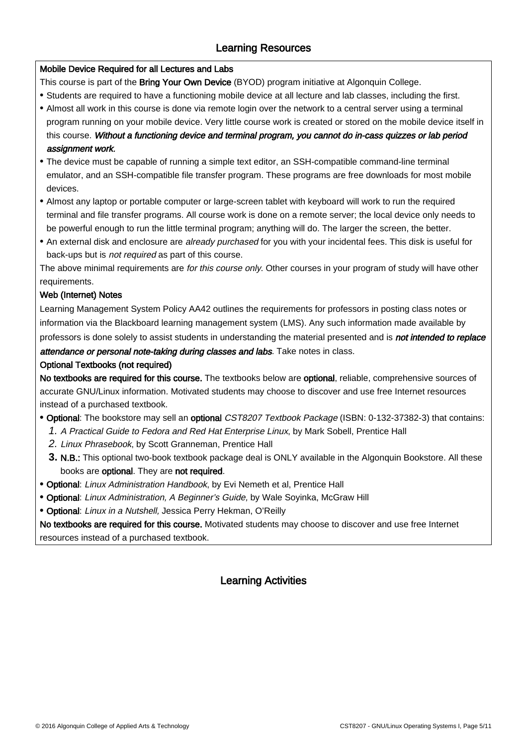## Learning Resources

### Mobile Device Required for all Lectures and Labs

This course is part of the Bring Your Own Device (BYOD) program initiative at Algonquin College.

- Students are required to have a functioning mobile device at all lecture and lab classes, including the first.
- Almost all work in this course is done via remote login over the network to a central server using a terminal program running on your mobile device. Very little course work is created or stored on the mobile device itself in this course. Without a functioning device and terminal program, you cannot do in-cass quizzes or lab period assignment work.
- The device must be capable of running a simple text editor, an SSH-compatible command-line terminal emulator, and an SSH-compatible file transfer program. These programs are free downloads for most mobile devices.
- Almost any laptop or portable computer or large-screen tablet with keyboard will work to run the required terminal and file transfer programs. All course work is done on a remote server; the local device only needs to be powerful enough to run the little terminal program; anything will do. The larger the screen, the better.
- An external disk and enclosure are already purchased for you with your incidental fees. This disk is useful for back-ups but is not required as part of this course.

The above minimal requirements are for this course only. Other courses in your program of study will have other requirements.

### Web (Internet) Notes

İ

Learning Management System Policy AA42 outlines the requirements for professors in posting class notes or information via the Blackboard learning management system (LMS). Any such information made available by professors is done solely to assist students in understanding the material presented and is not intended to replace

attendance or personal note-taking during classes and labs. Take notes in class.

### Optional Textbooks (not required)

No textbooks are required for this course. The textbooks below are optional, reliable, comprehensive sources of accurate GNU/Linux information. Motivated students may choose to discover and use free Internet resources instead of a purchased textbook.

- **•** Optional: The bookstore may sell an optional CST8207 Textbook Package (ISBN: 0-132-37382-3) that contains:
	- 1. A Practical Guide to Fedora and Red Hat Enterprise Linux, by Mark Sobell, Prentice Hall
	- 2. Linux Phrasebook, by Scott Granneman, Prentice Hall
	- 3. N.B.: This optional two-book textbook package deal is ONLY available in the Algonquin Bookstore. All these books are optional. They are not required.
- **•** Optional: Linux Administration Handbook, by Evi Nemeth et al, Prentice Hall
- **•** Optional: Linux Administration, A Beginner's Guide, by Wale Soyinka, McGraw Hill
- **•** Optional: Linux in a Nutshell, Jessica Perry Hekman, O'Reilly

No textbooks are required for this course. Motivated students may choose to discover and use free Internet resources instead of a purchased textbook.

## Learning Activities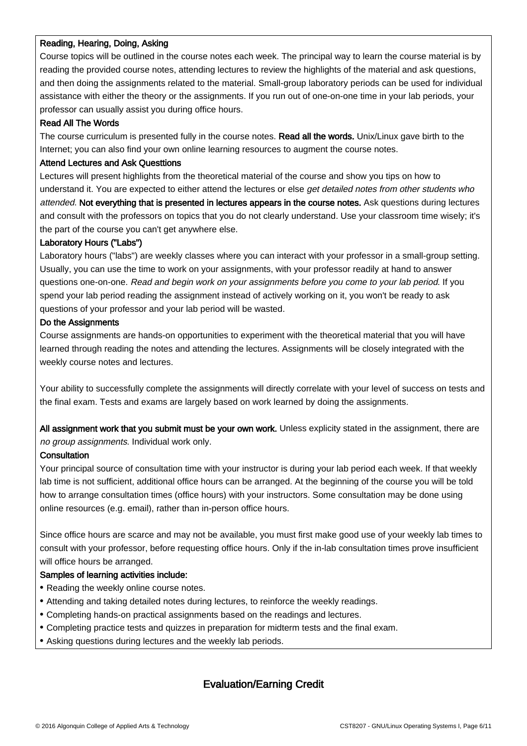#### Reading, Hearing, Doing, Asking

Course topics will be outlined in the course notes each week. The principal way to learn the course material is by reading the provided course notes, attending lectures to review the highlights of the material and ask questions, and then doing the assignments related to the material. Small-group laboratory periods can be used for individual assistance with either the theory or the assignments. If you run out of one-on-one time in your lab periods, your professor can usually assist you during office hours.

#### Read All The Words

The course curriculum is presented fully in the course notes. Read all the words. Unix/Linux gave birth to the Internet; you can also find your own online learning resources to augment the course notes.

#### Attend Lectures and Ask Questtions

Lectures will present highlights from the theoretical material of the course and show you tips on how to understand it. You are expected to either attend the lectures or else get detailed notes from other students who attended. Not everything that is presented in lectures appears in the course notes. Ask questions during lectures and consult with the professors on topics that you do not clearly understand. Use your classroom time wisely; it's the part of the course you can't get anywhere else.

#### Laboratory Hours ("Labs")

Laboratory hours ("labs") are weekly classes where you can interact with your professor in a small-group setting. Usually, you can use the time to work on your assignments, with your professor readily at hand to answer questions one-on-one. Read and begin work on your assignments before you come to your lab period. If you spend your lab period reading the assignment instead of actively working on it, you won't be ready to ask questions of your professor and your lab period will be wasted.

#### Do the Assignments

Course assignments are hands-on opportunities to experiment with the theoretical material that you will have learned through reading the notes and attending the lectures. Assignments will be closely integrated with the weekly course notes and lectures.

Your ability to successfully complete the assignments will directly correlate with your level of success on tests and the final exam. Tests and exams are largely based on work learned by doing the assignments.

All assignment work that you submit must be your own work. Unless explicity stated in the assignment, there are no group assignments. Individual work only.

#### **Consultation**

İ

Your principal source of consultation time with your instructor is during your lab period each week. If that weekly lab time is not sufficient, additional office hours can be arranged. At the beginning of the course you will be told how to arrange consultation times (office hours) with your instructors. Some consultation may be done using online resources (e.g. email), rather than in-person office hours.

Since office hours are scarce and may not be available, you must first make good use of your weekly lab times to consult with your professor, before requesting office hours. Only if the in-lab consultation times prove insufficient will office hours be arranged.

#### Samples of learning activities include:

- Reading the weekly online course notes.
- Attending and taking detailed notes during lectures, to reinforce the weekly readings.
- Completing hands-on practical assignments based on the readings and lectures.
- Completing practice tests and quizzes in preparation for midterm tests and the final exam.
- Asking questions during lectures and the weekly lab periods.

## Evaluation/Earning Credit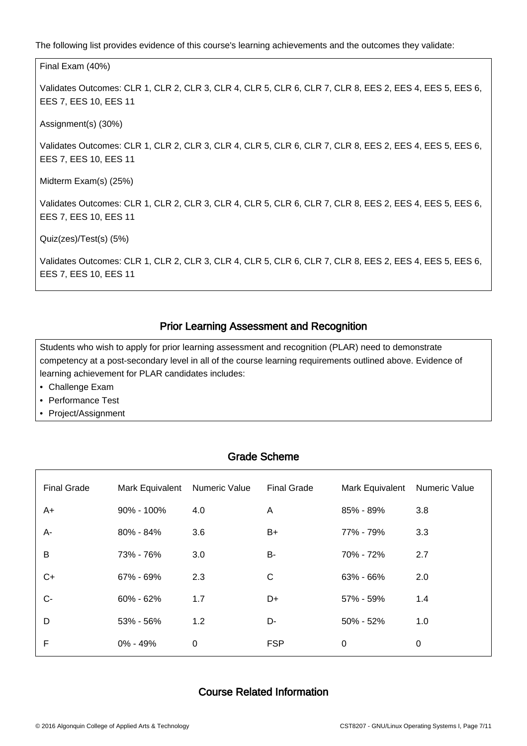The following list provides evidence of this course's learning achievements and the outcomes they validate:

Final Exam (40%) Validates Outcomes: CLR 1, CLR 2, CLR 3, CLR 4, CLR 5, CLR 6, CLR 7, CLR 8, EES 2, EES 4, EES 5, EES 6, EES 7, EES 10, EES 11 Assignment(s) (30%) Validates Outcomes: CLR 1, CLR 2, CLR 3, CLR 4, CLR 5, CLR 6, CLR 7, CLR 8, EES 2, EES 4, EES 5, EES 6, EES 7, EES 10, EES 11 Midterm Exam(s) (25%) Validates Outcomes: CLR 1, CLR 2, CLR 3, CLR 4, CLR 5, CLR 6, CLR 7, CLR 8, EES 2, EES 4, EES 5, EES 6, EES 7, EES 10, EES 11 Quiz(zes)/Test(s) (5%) Validates Outcomes: CLR 1, CLR 2, CLR 3, CLR 4, CLR 5, CLR 6, CLR 7, CLR 8, EES 2, EES 4, EES 5, EES 6, EES 7, EES 10, EES 11

## Prior Learning Assessment and Recognition

Students who wish to apply for prior learning assessment and recognition (PLAR) need to demonstrate competency at a post-secondary level in all of the course learning requirements outlined above. Evidence of learning achievement for PLAR candidates includes:

• Challenge Exam

 $\overline{a}$ 

İ

ـا<br>ا

- Performance Test
- Project/Assignment

| טווטווטוועט שאטו |               |                    |                 |               |  |  |  |  |
|------------------|---------------|--------------------|-----------------|---------------|--|--|--|--|
| Mark Equivalent  | Numeric Value | <b>Final Grade</b> | Mark Equivalent | Numeric Value |  |  |  |  |
| $90\% - 100\%$   | 4.0           | A                  | 85% - 89%       | 3.8           |  |  |  |  |
| $80\% - 84\%$    | 3.6           | $B+$               | 77% - 79%       | 3.3           |  |  |  |  |
| 73% - 76%        | 3.0           | B-                 | 70% - 72%       | 2.7           |  |  |  |  |
| 67% - 69%        | 2.3           | $\mathsf{C}$       | 63% - 66%       | 2.0           |  |  |  |  |
| $60\% - 62\%$    | 1.7           | D+                 | 57% - 59%       | 1.4           |  |  |  |  |
| 53% - 56%        | 1.2           | D-                 | $50\% - 52\%$   | 1.0           |  |  |  |  |
| $0\% - 49\%$     | 0             | <b>FSP</b>         | 0               | 0             |  |  |  |  |
|                  |               |                    |                 |               |  |  |  |  |

Grade Scheme

## Course Related Information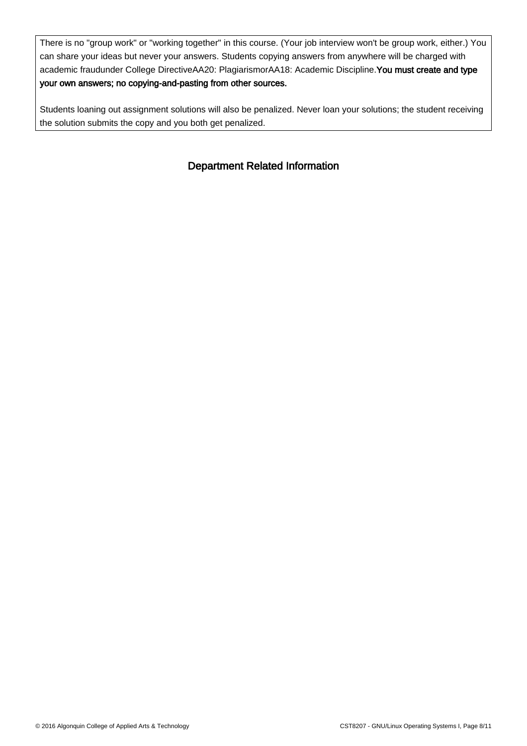There is no "group work" or "working together" in this course. (Your job interview won't be group work, either.) You can share your ideas but never your answers. Students copying answers from anywhere will be charged with academic fraudunder College DirectiveAA20: PlagiarismorAA18: Academic Discipline. You must create and type your own answers; no copying-and-pasting from other sources.

Students loaning out assignment solutions will also be penalized. Never loan your solutions; the student receiving the solution submits the copy and you both get penalized.

## Department Related Information

İ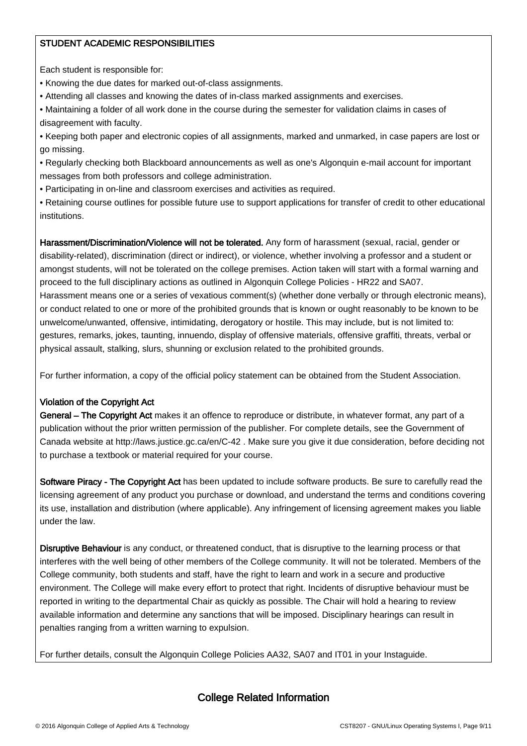### STUDENT ACADEMIC RESPONSIBILITIES

Each student is responsible for:

- Knowing the due dates for marked out-of-class assignments.
- Attending all classes and knowing the dates of in-class marked assignments and exercises.
- Maintaining a folder of all work done in the course during the semester for validation claims in cases of disagreement with faculty.
- Keeping both paper and electronic copies of all assignments, marked and unmarked, in case papers are lost or go missing.
- Regularly checking both Blackboard announcements as well as one's Algonquin e-mail account for important messages from both professors and college administration.
- Participating in on-line and classroom exercises and activities as required.
- Retaining course outlines for possible future use to support applications for transfer of credit to other educational institutions.

Harassment/Discrimination/Violence will not be tolerated. Any form of harassment (sexual, racial, gender or disability-related), discrimination (direct or indirect), or violence, whether involving a professor and a student or amongst students, will not be tolerated on the college premises. Action taken will start with a formal warning and proceed to the full disciplinary actions as outlined in Algonquin College Policies - HR22 and SA07. Harassment means one or a series of vexatious comment(s) (whether done verbally or through electronic means), or conduct related to one or more of the prohibited grounds that is known or ought reasonably to be known to be unwelcome/unwanted, offensive, intimidating, derogatory or hostile. This may include, but is not limited to: gestures, remarks, jokes, taunting, innuendo, display of offensive materials, offensive graffiti, threats, verbal or physical assault, stalking, slurs, shunning or exclusion related to the prohibited grounds.

For further information, a copy of the official policy statement can be obtained from the Student Association.

#### Violation of the Copyright Act

General – The Copyright Act makes it an offence to reproduce or distribute, in whatever format, any part of a publication without the prior written permission of the publisher. For complete details, see the Government of Canada website at http://laws.justice.gc.ca/en/C-42 . Make sure you give it due consideration, before deciding not to purchase a textbook or material required for your course.

Software Piracy - The Copyright Act has been updated to include software products. Be sure to carefully read the licensing agreement of any product you purchase or download, and understand the terms and conditions covering its use, installation and distribution (where applicable). Any infringement of licensing agreement makes you liable under the law.

Disruptive Behaviour is any conduct, or threatened conduct, that is disruptive to the learning process or that interferes with the well being of other members of the College community. It will not be tolerated. Members of the College community, both students and staff, have the right to learn and work in a secure and productive environment. The College will make every effort to protect that right. Incidents of disruptive behaviour must be reported in writing to the departmental Chair as quickly as possible. The Chair will hold a hearing to review available information and determine any sanctions that will be imposed. Disciplinary hearings can result in penalties ranging from a written warning to expulsion.

For further details, consult the Algonquin College Policies AA32, SA07 and IT01 in your Instaguide.

ـا<br>ا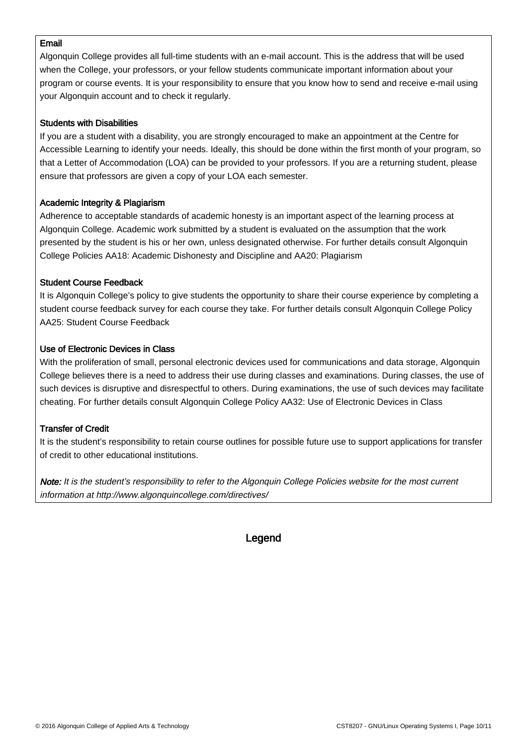#### Email

Algonquin College provides all full-time students with an e-mail account. This is the address that will be used when the College, your professors, or your fellow students communicate important information about your program or course events. It is your responsibility to ensure that you know how to send and receive e-mail using your Algonquin account and to check it regularly.

#### Students with Disabilities

If you are a student with a disability, you are strongly encouraged to make an appointment at the Centre for Accessible Learning to identify your needs. Ideally, this should be done within the first month of your program, so that a Letter of Accommodation (LOA) can be provided to your professors. If you are a returning student, please ensure that professors are given a copy of your LOA each semester.

#### Academic Integrity & Plagiarism

Adherence to acceptable standards of academic honesty is an important aspect of the learning process at Algonquin College. Academic work submitted by a student is evaluated on the assumption that the work presented by the student is his or her own, unless designated otherwise. For further details consult Algonquin College Policies AA18: Academic Dishonesty and Discipline and AA20: Plagiarism

#### Student Course Feedback

It is Algonquin College's policy to give students the opportunity to share their course experience by completing a student course feedback survey for each course they take. For further details consult Algonquin College Policy AA25: Student Course Feedback

#### Use of Electronic Devices in Class

With the proliferation of small, personal electronic devices used for communications and data storage, Algonquin College believes there is a need to address their use during classes and examinations. During classes, the use of such devices is disruptive and disrespectful to others. During examinations, the use of such devices may facilitate cheating. For further details consult Algonquin College Policy AA32: Use of Electronic Devices in Class

#### Transfer of Credit

İ

It is the student's responsibility to retain course outlines for possible future use to support applications for transfer of credit to other educational institutions.

Note: It is the student's responsibility to refer to the Algonquin College Policies website for the most current information at http://www.algonquincollege.com/directives/

### **Legend**